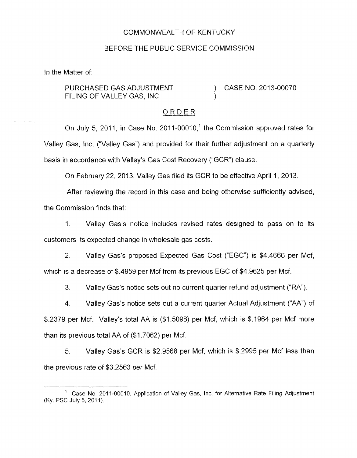## COMMONWEALTH OF KENTUCKY

### BEFORE THE PUBLIC SERVICE COMMISSION

In the Matter of:

. \_\_\_

PURCHASED GAS ADJUSTMENT (2013-00070) CASE NO. 2013-00070 FILING OF VALLEY GAS, INC.

### ORDER

On July 5, 2011, in Case No. 2011-00010,<sup>1</sup> the Commission approved rates for Valley Gas, Inc. ("Valley Gas") and provided for their further adjustment on a quarterly basis in accordance with Valley's Gas Cost Recovery ("GCR") clause.

On February 22, 2013, Valley Gas filed its GCR to be effective April 1, 2013.

After reviewing the record in this case and being otherwise sufficiently advised,

the Commission finds that:

1. Valley Gas's notice includes revised rates designed to pass on to its customers its expected change in wholesale gas costs.

2. Valley Gas's proposed Expected Gas Cost ("EGC") is \$4.4666 per Mcf, which is a decrease of \$.4959 per Mcf from its previous EGC of \$4.9625 per Mcf.

**3.** Valley Gas's notice sets out no current quarter refund adjustment ("RA").

4. Valley Gas's notice sets out a current quarter Actual Adjustment ("AA") of \$.2379 per Mcf. Valley's total AA is (\$1.5098) per Mcf, which is \$.I964 per Mcf more than its previous total AA of (\$1.7062) per Mcf.

5. Valley Gas's GCR is \$2.9568 per Mcf, which is \$.2995 per Mcf less than the previous rate of \$3.2563 per Mcf.

Case No. 2011-00010, Application of Valley Gas, Inc. for Alternative Rate Filing Adjustment (Ky. PSC July 5, 2011).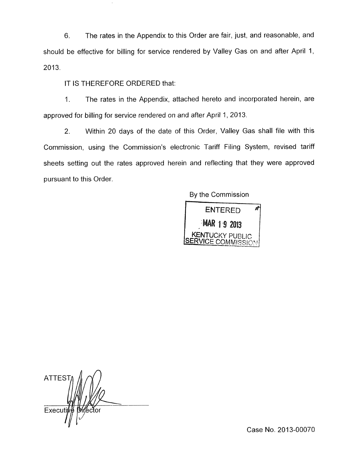6. The rates in the Appendix to this Order are fair, just, and reasonable, and should be effective for billing for service rendered by Valley Gas on and after April 1, 2013.

## IT IS THEREFORE ORDERED that:

1. The rates in the Appendix, attached hereto and incorporated herein, are approved for billing for service rendered on and after April 1, 2013.

2. Within 20 days of the date of this Order, Valley Gas shall file with this Commission, using the Commission's electronic Tariff Filing System, revised tariff sheets setting out the rates approved herein and reflecting that they were approved pursuant to this Order.

By the Commission



**n**  ATTES Execut

Case No. 2013-00070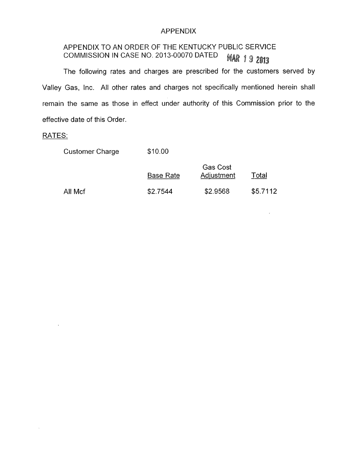# APPENDIX

#### APPENDIX TO AN ORDER OF THE KENTUCKY PUBLIC SERVICE COMMISSION IN CASE NO. 2013-00070 DATED **MAR 19 2013**

The following rates and charges are prescribed for the customers served by Valley Gas, Inc. All other rates and charges not specifically mentioned herein shall remain the same as those in effect under authority of this Commission prior to the effective date of this Order.

## RATES:

 $\bar{z}$ 

Customer Charge \$10.00

|         | <b>Base Rate</b> | <b>Gas Cost</b><br>Adjustment | Total    |
|---------|------------------|-------------------------------|----------|
| All Mcf | \$2.7544         | \$2.9568                      | \$5.7112 |